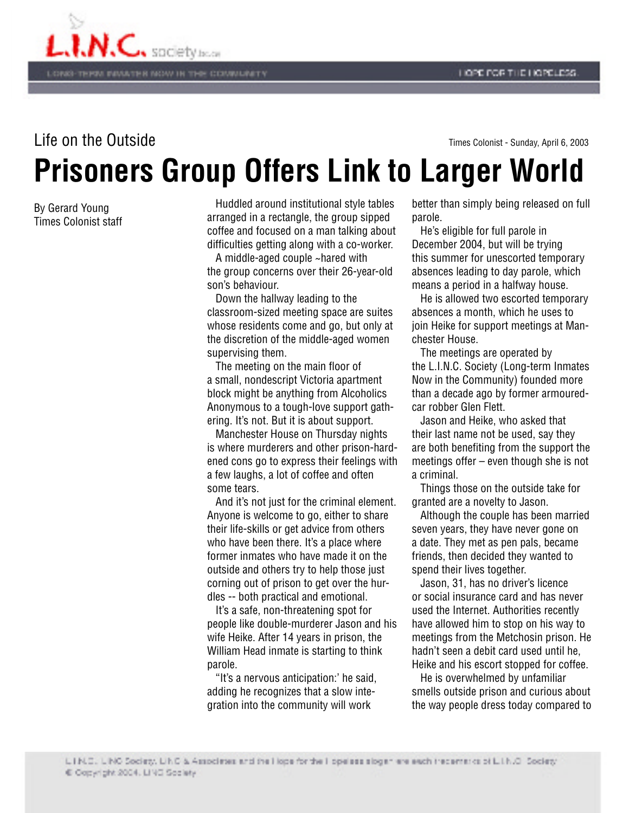

**Prisoners Group Offers Link to Larger World** Life on the Outside Times Colonist - Sunday, April 6, 2003

By Gerard Young Times Colonist staff

 Huddled around institutional style tables arranged in a rectangle, the group sipped coffee and focused on a man talking about difficulties getting along with a co-worker.

 A middle-aged couple ~hared with the group concerns over their 26-year-old son's behaviour.

 Down the hallway leading to the classroom-sized meeting space are suites whose residents come and go, but only at the discretion of the middle-aged women supervising them.

 The meeting on the main floor of a small, nondescript Victoria apartment block might be anything from Alcoholics Anonymous to a tough-love support gathering. It's not. But it is about support.

 Manchester House on Thursday nights is where murderers and other prison-hardened cons go to express their feelings with a few laughs, a lot of coffee and often some tears.

 And it's not just for the criminal element. Anyone is welcome to go, either to share their life-skills or get advice from others who have been there. It's a place where former inmates who have made it on the outside and others try to help those just corning out of prison to get over the hurdles -- both practical and emotional.

 It's a safe, non-threatening spot for people like double-murderer Jason and his wife Heike. After 14 years in prison, the William Head inmate is starting to think parole.

 "It's a nervous anticipation:' he said, adding he recognizes that a slow integration into the community will work

better than simply being released on full parole.

 He's eligible for full parole in December 2004, but will be trying this summer for unescorted temporary absences leading to day parole, which means a period in a halfway house.

 He is allowed two escorted temporary absences a month, which he uses to join Heike for support meetings at Manchester House.

 The meetings are operated by the L.I.N.C. Society (Long-term Inmates Now in the Community) founded more than a decade ago by former armouredcar robber Glen Flett.

 Jason and Heike, who asked that their last name not be used, say they are both benefiting from the support the meetings offer – even though she is not a criminal.

 Things those on the outside take for granted are a novelty to Jason.

 Although the couple has been married seven years, they have never gone on a date. They met as pen pals, became friends, then decided they wanted to spend their lives together.

 Jason, 31, has no driver's licence or social insurance card and has never used the Internet. Authorities recently have allowed him to stop on his way to meetings from the Metchosin prison. He hadn't seen a debit card used until he, Heike and his escort stopped for coffee.

 He is overwhelmed by unfamiliar smells outside prison and curious about the way people dress today compared to